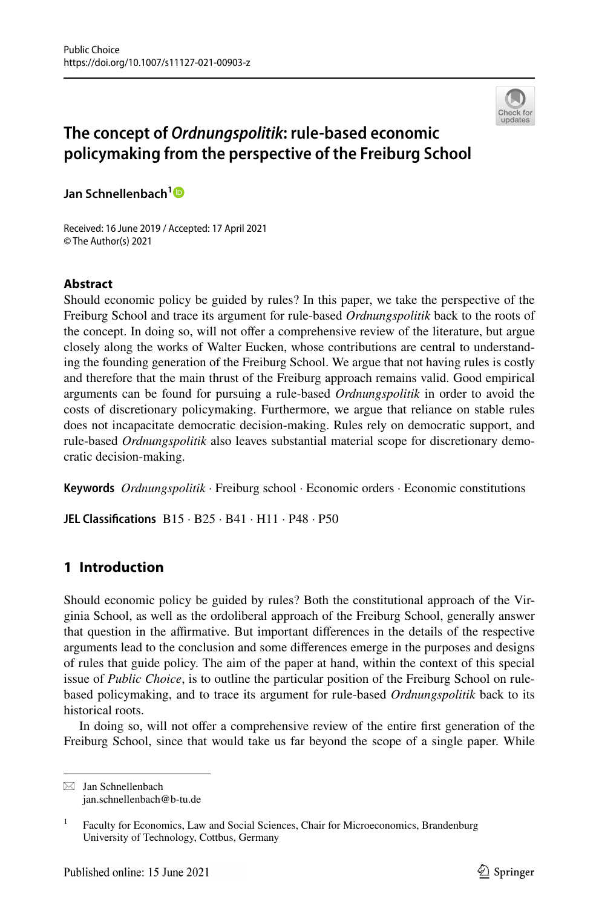

# **The concept of** *Ordnungspolitik***: rule‑based economic policymaking from the perspective of the Freiburg School**

**Jan Schnellenbach[1](http://orcid.org/0000-0003-1775-5744)**

Received: 16 June 2019 / Accepted: 17 April 2021 © The Author(s) 2021

# **Abstract**

Should economic policy be guided by rules? In this paper, we take the perspective of the Freiburg School and trace its argument for rule-based *Ordnungspolitik* back to the roots of the concept. In doing so, will not ofer a comprehensive review of the literature, but argue closely along the works of Walter Eucken, whose contributions are central to understanding the founding generation of the Freiburg School. We argue that not having rules is costly and therefore that the main thrust of the Freiburg approach remains valid. Good empirical arguments can be found for pursuing a rule-based *Ordnungspolitik* in order to avoid the costs of discretionary policymaking. Furthermore, we argue that reliance on stable rules does not incapacitate democratic decision-making. Rules rely on democratic support, and rule-based *Ordnungspolitik* also leaves substantial material scope for discretionary democratic decision-making.

**Keywords** *Ordnungspolitik* · Freiburg school · Economic orders · Economic constitutions

**JEL Classifcations** B15 · B25 · B41 · H11 · P48 · P50

# **1 Introduction**

Should economic policy be guided by rules? Both the constitutional approach of the Virginia School, as well as the ordoliberal approach of the Freiburg School, generally answer that question in the afrmative. But important diferences in the details of the respective arguments lead to the conclusion and some diferences emerge in the purposes and designs of rules that guide policy. The aim of the paper at hand, within the context of this special issue of *Public Choice*, is to outline the particular position of the Freiburg School on rulebased policymaking, and to trace its argument for rule-based *Ordnungspolitik* back to its historical roots.

In doing so, will not ofer a comprehensive review of the entire frst generation of the Freiburg School, since that would take us far beyond the scope of a single paper. While

 $\boxtimes$  Jan Schnellenbach jan.schnellenbach@b-tu.de

<sup>&</sup>lt;sup>1</sup> Faculty for Economics, Law and Social Sciences, Chair for Microeconomics, Brandenburg University of Technology, Cottbus, Germany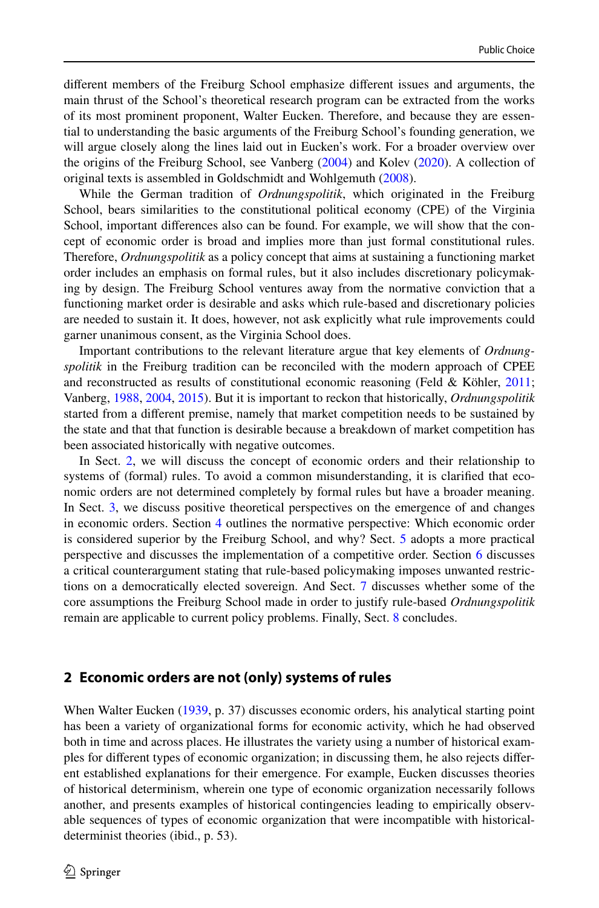diferent members of the Freiburg School emphasize diferent issues and arguments, the main thrust of the School's theoretical research program can be extracted from the works of its most prominent proponent, Walter Eucken. Therefore, and because they are essential to understanding the basic arguments of the Freiburg School's founding generation, we will argue closely along the lines laid out in Eucken's work. For a broader overview over the origins of the Freiburg School, see Vanberg [\(2004](#page-17-0)) and Kolev ([2020\)](#page-17-1). A collection of original texts is assembled in Goldschmidt and Wohlgemuth [\(2008](#page-16-0)).

While the German tradition of *Ordnungspolitik*, which originated in the Freiburg School, bears similarities to the constitutional political economy (CPE) of the Virginia School, important diferences also can be found. For example, we will show that the concept of economic order is broad and implies more than just formal constitutional rules. Therefore, *Ordnungspolitik* as a policy concept that aims at sustaining a functioning market order includes an emphasis on formal rules, but it also includes discretionary policymaking by design. The Freiburg School ventures away from the normative conviction that a functioning market order is desirable and asks which rule-based and discretionary policies are needed to sustain it. It does, however, not ask explicitly what rule improvements could garner unanimous consent, as the Virginia School does.

Important contributions to the relevant literature argue that key elements of *Ordnungspolitik* in the Freiburg tradition can be reconciled with the modern approach of CPEE and reconstructed as results of constitutional economic reasoning (Feld & Köhler, [2011;](#page-16-1) Vanberg, [1988](#page-17-2), [2004](#page-17-0), [2015\)](#page-17-3). But it is important to reckon that historically, *Ordnungspolitik* started from a diferent premise, namely that market competition needs to be sustained by the state and that that function is desirable because a breakdown of market competition has been associated historically with negative outcomes.

In Sect. [2](#page-1-0), we will discuss the concept of economic orders and their relationship to systems of (formal) rules. To avoid a common misunderstanding, it is clarifed that economic orders are not determined completely by formal rules but have a broader meaning. In Sect. [3,](#page-3-0) we discuss positive theoretical perspectives on the emergence of and changes in economic orders. Section [4](#page-5-0) outlines the normative perspective: Which economic order is considered superior by the Freiburg School, and why? Sect. [5](#page-8-0) adopts a more practical perspective and discusses the implementation of a competitive order. Section [6](#page-10-0) discusses a critical counterargument stating that rule-based policymaking imposes unwanted restrictions on a democratically elected sovereign. And Sect. [7](#page-12-0) discusses whether some of the core assumptions the Freiburg School made in order to justify rule-based *Ordnungspolitik* remain are applicable to current policy problems. Finally, Sect. [8](#page-15-0) concludes.

#### <span id="page-1-0"></span>**2 Economic orders are not (only) systems of rules**

When Walter Eucken ([1939,](#page-16-2) p. 37) discusses economic orders, his analytical starting point has been a variety of organizational forms for economic activity, which he had observed both in time and across places. He illustrates the variety using a number of historical examples for diferent types of economic organization; in discussing them, he also rejects diferent established explanations for their emergence. For example, Eucken discusses theories of historical determinism, wherein one type of economic organization necessarily follows another, and presents examples of historical contingencies leading to empirically observable sequences of types of economic organization that were incompatible with historicaldeterminist theories (ibid., p. 53).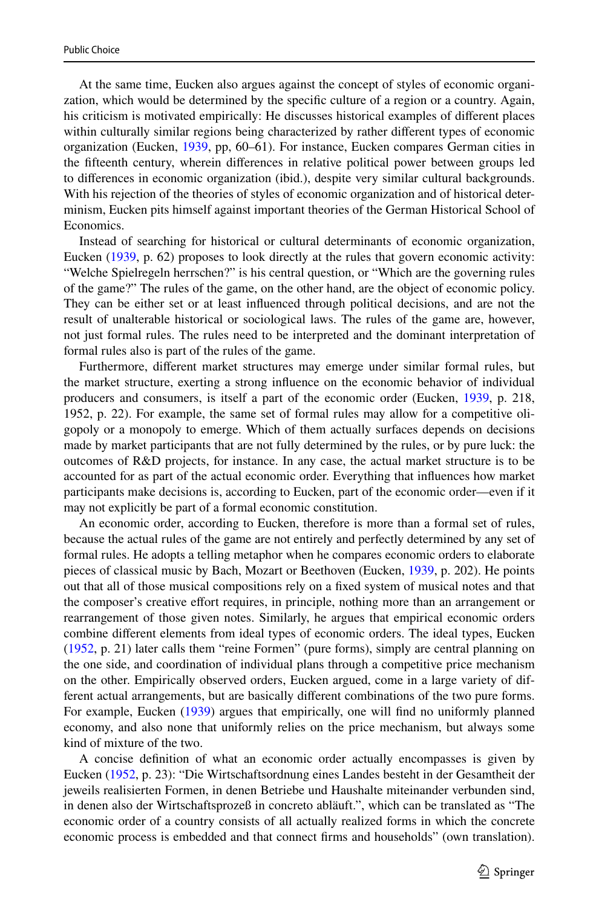At the same time, Eucken also argues against the concept of styles of economic organization, which would be determined by the specifc culture of a region or a country. Again, his criticism is motivated empirically: He discusses historical examples of diferent places within culturally similar regions being characterized by rather diferent types of economic organization (Eucken, [1939,](#page-16-2) pp, 60–61). For instance, Eucken compares German cities in the ffteenth century, wherein diferences in relative political power between groups led to diferences in economic organization (ibid.), despite very similar cultural backgrounds. With his rejection of the theories of styles of economic organization and of historical determinism, Eucken pits himself against important theories of the German Historical School of Economics.

Instead of searching for historical or cultural determinants of economic organization, Eucken [\(1939](#page-16-2), p. 62) proposes to look directly at the rules that govern economic activity: "Welche Spielregeln herrschen?" is his central question, or "Which are the governing rules of the game?" The rules of the game, on the other hand, are the object of economic policy. They can be either set or at least infuenced through political decisions, and are not the result of unalterable historical or sociological laws. The rules of the game are, however, not just formal rules. The rules need to be interpreted and the dominant interpretation of formal rules also is part of the rules of the game.

Furthermore, diferent market structures may emerge under similar formal rules, but the market structure, exerting a strong infuence on the economic behavior of individual producers and consumers, is itself a part of the economic order (Eucken, [1939](#page-16-2), p. 218, 1952, p. 22). For example, the same set of formal rules may allow for a competitive oligopoly or a monopoly to emerge. Which of them actually surfaces depends on decisions made by market participants that are not fully determined by the rules, or by pure luck: the outcomes of R&D projects, for instance. In any case, the actual market structure is to be accounted for as part of the actual economic order. Everything that infuences how market participants make decisions is, according to Eucken, part of the economic order—even if it may not explicitly be part of a formal economic constitution.

An economic order, according to Eucken, therefore is more than a formal set of rules, because the actual rules of the game are not entirely and perfectly determined by any set of formal rules. He adopts a telling metaphor when he compares economic orders to elaborate pieces of classical music by Bach, Mozart or Beethoven (Eucken, [1939,](#page-16-2) p. 202). He points out that all of those musical compositions rely on a fxed system of musical notes and that the composer's creative efort requires, in principle, nothing more than an arrangement or rearrangement of those given notes. Similarly, he argues that empirical economic orders combine diferent elements from ideal types of economic orders. The ideal types, Eucken ([1952,](#page-16-3) p. 21) later calls them "reine Formen" (pure forms), simply are central planning on the one side, and coordination of individual plans through a competitive price mechanism on the other. Empirically observed orders, Eucken argued, come in a large variety of different actual arrangements, but are basically diferent combinations of the two pure forms. For example, Eucken ([1939\)](#page-16-2) argues that empirically, one will find no uniformly planned economy, and also none that uniformly relies on the price mechanism, but always some kind of mixture of the two.

A concise defnition of what an economic order actually encompasses is given by Eucken [\(1952](#page-16-3), p. 23): "Die Wirtschaftsordnung eines Landes besteht in der Gesamtheit der jeweils realisierten Formen, in denen Betriebe und Haushalte miteinander verbunden sind, in denen also der Wirtschaftsprozeß in concreto abläuft.", which can be translated as "The economic order of a country consists of all actually realized forms in which the concrete economic process is embedded and that connect frms and households" (own translation).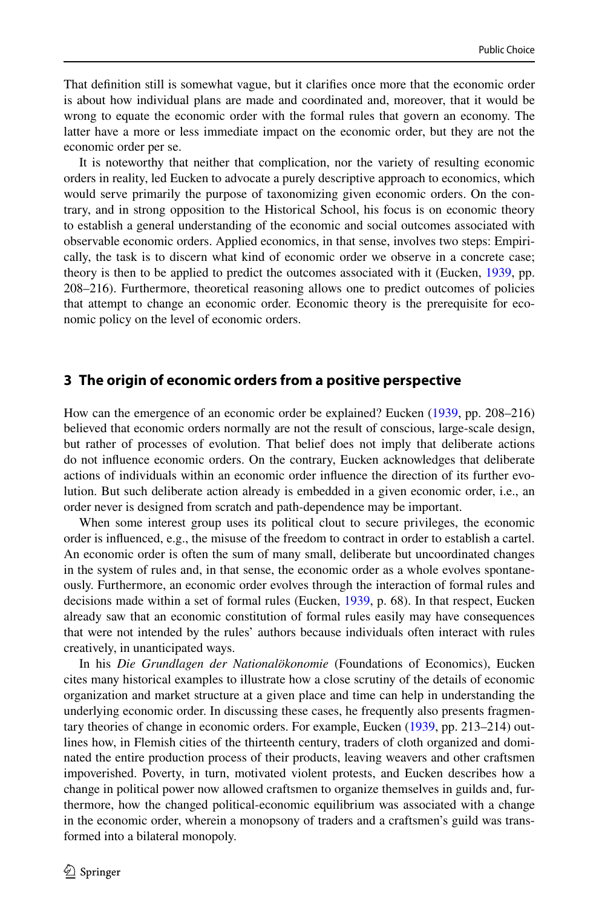That defnition still is somewhat vague, but it clarifes once more that the economic order is about how individual plans are made and coordinated and, moreover, that it would be wrong to equate the economic order with the formal rules that govern an economy. The latter have a more or less immediate impact on the economic order, but they are not the economic order per se.

It is noteworthy that neither that complication, nor the variety of resulting economic orders in reality, led Eucken to advocate a purely descriptive approach to economics, which would serve primarily the purpose of taxonomizing given economic orders. On the contrary, and in strong opposition to the Historical School, his focus is on economic theory to establish a general understanding of the economic and social outcomes associated with observable economic orders. Applied economics, in that sense, involves two steps: Empirically, the task is to discern what kind of economic order we observe in a concrete case; theory is then to be applied to predict the outcomes associated with it (Eucken, [1939](#page-16-2), pp. 208–216). Furthermore, theoretical reasoning allows one to predict outcomes of policies that attempt to change an economic order. Economic theory is the prerequisite for economic policy on the level of economic orders.

#### <span id="page-3-0"></span>**3 The origin of economic orders from a positive perspective**

How can the emergence of an economic order be explained? Eucken [\(1939](#page-16-2), pp. 208–216) believed that economic orders normally are not the result of conscious, large-scale design, but rather of processes of evolution. That belief does not imply that deliberate actions do not infuence economic orders. On the contrary, Eucken acknowledges that deliberate actions of individuals within an economic order infuence the direction of its further evolution. But such deliberate action already is embedded in a given economic order, i.e., an order never is designed from scratch and path-dependence may be important.

When some interest group uses its political clout to secure privileges, the economic order is infuenced, e.g., the misuse of the freedom to contract in order to establish a cartel. An economic order is often the sum of many small, deliberate but uncoordinated changes in the system of rules and, in that sense, the economic order as a whole evolves spontaneously. Furthermore, an economic order evolves through the interaction of formal rules and decisions made within a set of formal rules (Eucken, [1939,](#page-16-2) p. 68). In that respect, Eucken already saw that an economic constitution of formal rules easily may have consequences that were not intended by the rules' authors because individuals often interact with rules creatively, in unanticipated ways.

In his *Die Grundlagen der Nationalökonomie* (Foundations of Economics), Eucken cites many historical examples to illustrate how a close scrutiny of the details of economic organization and market structure at a given place and time can help in understanding the underlying economic order. In discussing these cases, he frequently also presents fragmentary theories of change in economic orders. For example, Eucken [\(1939](#page-16-2), pp. 213–214) outlines how, in Flemish cities of the thirteenth century, traders of cloth organized and dominated the entire production process of their products, leaving weavers and other craftsmen impoverished. Poverty, in turn, motivated violent protests, and Eucken describes how a change in political power now allowed craftsmen to organize themselves in guilds and, furthermore, how the changed political-economic equilibrium was associated with a change in the economic order, wherein a monopsony of traders and a craftsmen's guild was transformed into a bilateral monopoly.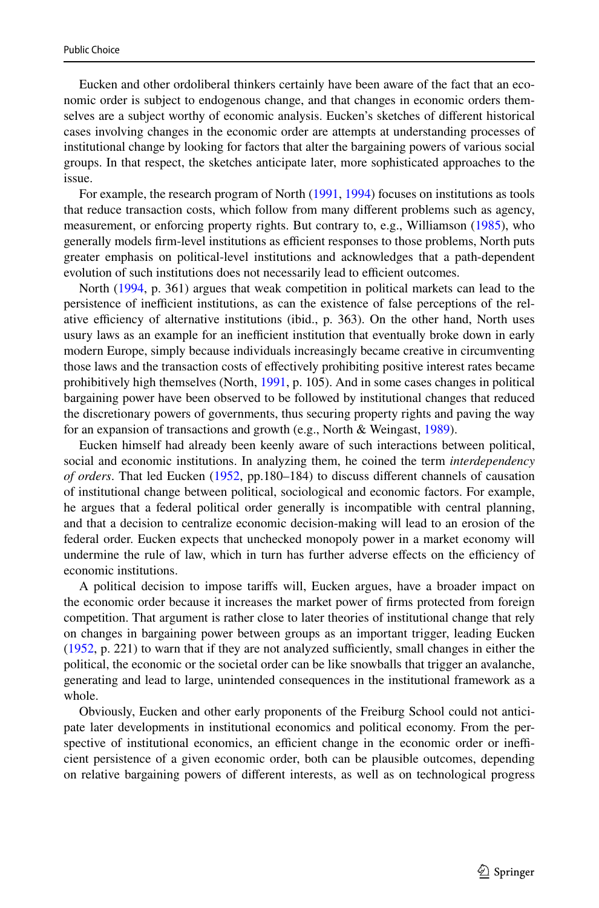Eucken and other ordoliberal thinkers certainly have been aware of the fact that an economic order is subject to endogenous change, and that changes in economic orders themselves are a subject worthy of economic analysis. Eucken's sketches of diferent historical cases involving changes in the economic order are attempts at understanding processes of institutional change by looking for factors that alter the bargaining powers of various social groups. In that respect, the sketches anticipate later, more sophisticated approaches to the issue.

For example, the research program of North ([1991,](#page-17-4) [1994](#page-17-5)) focuses on institutions as tools that reduce transaction costs, which follow from many diferent problems such as agency, measurement, or enforcing property rights. But contrary to, e.g., Williamson ([1985\)](#page-17-6), who generally models firm-level institutions as efficient responses to those problems, North puts greater emphasis on political-level institutions and acknowledges that a path-dependent evolution of such institutions does not necessarily lead to efficient outcomes.

North ([1994,](#page-17-5) p. 361) argues that weak competition in political markets can lead to the persistence of inefficient institutions, as can the existence of false perceptions of the relative efficiency of alternative institutions (ibid., p. 363). On the other hand, North uses usury laws as an example for an inefficient institution that eventually broke down in early modern Europe, simply because individuals increasingly became creative in circumventing those laws and the transaction costs of efectively prohibiting positive interest rates became prohibitively high themselves (North, [1991](#page-17-4), p. 105). And in some cases changes in political bargaining power have been observed to be followed by institutional changes that reduced the discretionary powers of governments, thus securing property rights and paving the way for an expansion of transactions and growth (e.g., North & Weingast, [1989](#page-17-7)).

Eucken himself had already been keenly aware of such interactions between political, social and economic institutions. In analyzing them, he coined the term *interdependency of orders*. That led Eucken [\(1952](#page-16-3), pp.180–184) to discuss diferent channels of causation of institutional change between political, sociological and economic factors. For example, he argues that a federal political order generally is incompatible with central planning, and that a decision to centralize economic decision-making will lead to an erosion of the federal order. Eucken expects that unchecked monopoly power in a market economy will undermine the rule of law, which in turn has further adverse effects on the efficiency of economic institutions.

A political decision to impose tarifs will, Eucken argues, have a broader impact on the economic order because it increases the market power of frms protected from foreign competition. That argument is rather close to later theories of institutional change that rely on changes in bargaining power between groups as an important trigger, leading Eucken  $(1952, p. 221)$  $(1952, p. 221)$  $(1952, p. 221)$  to warn that if they are not analyzed sufficiently, small changes in either the political, the economic or the societal order can be like snowballs that trigger an avalanche, generating and lead to large, unintended consequences in the institutional framework as a whole.

Obviously, Eucken and other early proponents of the Freiburg School could not anticipate later developments in institutional economics and political economy. From the perspective of institutional economics, an efficient change in the economic order or inefficient persistence of a given economic order, both can be plausible outcomes, depending on relative bargaining powers of diferent interests, as well as on technological progress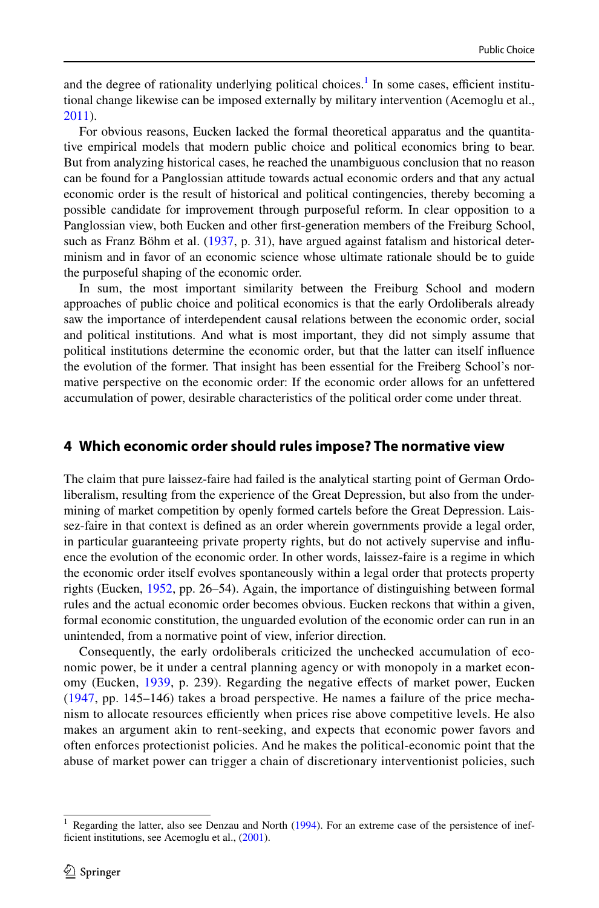and the degree of rationality underlying political choices.<sup>1</sup> In some cases, efficient institutional change likewise can be imposed externally by military intervention (Acemoglu et al., [2011\)](#page-16-4).

For obvious reasons, Eucken lacked the formal theoretical apparatus and the quantitative empirical models that modern public choice and political economics bring to bear. But from analyzing historical cases, he reached the unambiguous conclusion that no reason can be found for a Panglossian attitude towards actual economic orders and that any actual economic order is the result of historical and political contingencies, thereby becoming a possible candidate for improvement through purposeful reform. In clear opposition to a Panglossian view, both Eucken and other frst-generation members of the Freiburg School, such as Franz Böhm et al. ([1937,](#page-16-5) p. 31), have argued against fatalism and historical determinism and in favor of an economic science whose ultimate rationale should be to guide the purposeful shaping of the economic order.

In sum, the most important similarity between the Freiburg School and modern approaches of public choice and political economics is that the early Ordoliberals already saw the importance of interdependent causal relations between the economic order, social and political institutions. And what is most important, they did not simply assume that political institutions determine the economic order, but that the latter can itself infuence the evolution of the former. That insight has been essential for the Freiberg School's normative perspective on the economic order: If the economic order allows for an unfettered accumulation of power, desirable characteristics of the political order come under threat.

#### <span id="page-5-0"></span>**4 Which economic order should rules impose? The normative view**

The claim that pure laissez-faire had failed is the analytical starting point of German Ordoliberalism, resulting from the experience of the Great Depression, but also from the undermining of market competition by openly formed cartels before the Great Depression. Laissez-faire in that context is defned as an order wherein governments provide a legal order, in particular guaranteeing private property rights, but do not actively supervise and infuence the evolution of the economic order. In other words, laissez-faire is a regime in which the economic order itself evolves spontaneously within a legal order that protects property rights (Eucken, [1952,](#page-16-3) pp. 26–54). Again, the importance of distinguishing between formal rules and the actual economic order becomes obvious. Eucken reckons that within a given, formal economic constitution, the unguarded evolution of the economic order can run in an unintended, from a normative point of view, inferior direction.

Consequently, the early ordoliberals criticized the unchecked accumulation of economic power, be it under a central planning agency or with monopoly in a market economy (Eucken, [1939](#page-16-2), p. 239). Regarding the negative efects of market power, Eucken ([1947,](#page-16-6) pp. 145–146) takes a broad perspective. He names a failure of the price mechanism to allocate resources efficiently when prices rise above competitive levels. He also makes an argument akin to rent-seeking, and expects that economic power favors and often enforces protectionist policies. And he makes the political-economic point that the abuse of market power can trigger a chain of discretionary interventionist policies, such

<span id="page-5-1"></span><sup>&</sup>lt;sup>1</sup> Regarding the latter, also see Denzau and North [\(1994](#page-16-7)). For an extreme case of the persistence of inef-ficient institutions, see Acemoglu et al., ([2001\)](#page-16-8).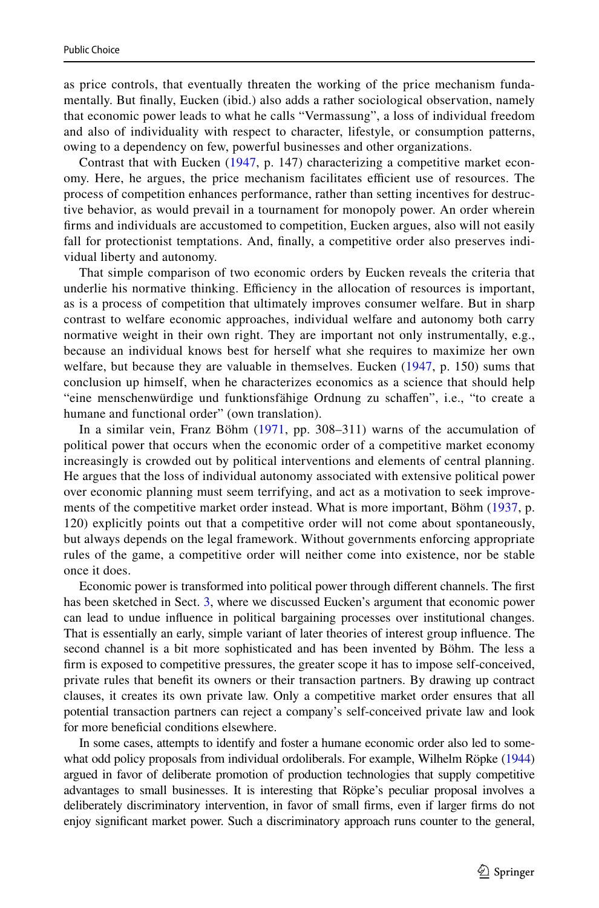as price controls, that eventually threaten the working of the price mechanism fundamentally. But fnally, Eucken (ibid.) also adds a rather sociological observation, namely that economic power leads to what he calls "Vermassung", a loss of individual freedom and also of individuality with respect to character, lifestyle, or consumption patterns, owing to a dependency on few, powerful businesses and other organizations.

Contrast that with Eucken ([1947](#page-16-6), p. 147) characterizing a competitive market economy. Here, he argues, the price mechanism facilitates efficient use of resources. The process of competition enhances performance, rather than setting incentives for destructive behavior, as would prevail in a tournament for monopoly power. An order wherein frms and individuals are accustomed to competition, Eucken argues, also will not easily fall for protectionist temptations. And, fnally, a competitive order also preserves individual liberty and autonomy.

That simple comparison of two economic orders by Eucken reveals the criteria that underlie his normative thinking. Efficiency in the allocation of resources is important, as is a process of competition that ultimately improves consumer welfare. But in sharp contrast to welfare economic approaches, individual welfare and autonomy both carry normative weight in their own right. They are important not only instrumentally, e.g., because an individual knows best for herself what she requires to maximize her own welfare, but because they are valuable in themselves. Eucken ([1947](#page-16-6), p. 150) sums that conclusion up himself, when he characterizes economics as a science that should help "eine menschenwürdige und funktionsfähige Ordnung zu schafen", i.e., "to create a humane and functional order" (own translation).

In a similar vein, Franz Böhm ([1971](#page-16-9), pp. 308–311) warns of the accumulation of political power that occurs when the economic order of a competitive market economy increasingly is crowded out by political interventions and elements of central planning. He argues that the loss of individual autonomy associated with extensive political power over economic planning must seem terrifying, and act as a motivation to seek improve-ments of the competitive market order instead. What is more important, Böhm ([1937](#page-16-5), p. 120) explicitly points out that a competitive order will not come about spontaneously, but always depends on the legal framework. Without governments enforcing appropriate rules of the game, a competitive order will neither come into existence, nor be stable once it does.

Economic power is transformed into political power through diferent channels. The frst has been sketched in Sect. [3](#page-3-0), where we discussed Eucken's argument that economic power can lead to undue infuence in political bargaining processes over institutional changes. That is essentially an early, simple variant of later theories of interest group infuence. The second channel is a bit more sophisticated and has been invented by Böhm. The less a frm is exposed to competitive pressures, the greater scope it has to impose self-conceived, private rules that beneft its owners or their transaction partners. By drawing up contract clauses, it creates its own private law. Only a competitive market order ensures that all potential transaction partners can reject a company's self-conceived private law and look for more benefcial conditions elsewhere.

In some cases, attempts to identify and foster a humane economic order also led to somewhat odd policy proposals from individual ordoliberals. For example, Wilhelm Röpke [\(1944](#page-17-8)) argued in favor of deliberate promotion of production technologies that supply competitive advantages to small businesses. It is interesting that Röpke's peculiar proposal involves a deliberately discriminatory intervention, in favor of small frms, even if larger frms do not enjoy signifcant market power. Such a discriminatory approach runs counter to the general,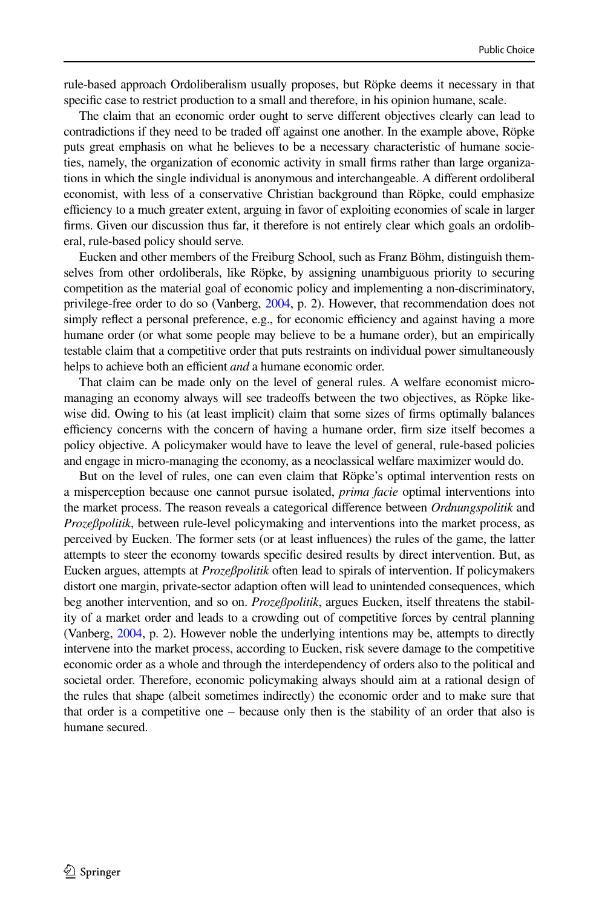rule-based approach Ordoliberalism usually proposes, but Röpke deems it necessary in that specific case to restrict production to a small and therefore, in his opinion humane, scale.

The claim that an economic order ought to serve diferent objectives clearly can lead to contradictions if they need to be traded off against one another. In the example above, Röpke puts great emphasis on what he believes to be a necessary characteristic of humane societies, namely, the organization of economic activity in small frms rather than large organizations in which the single individual is anonymous and interchangeable. A diferent ordoliberal economist, with less of a conservative Christian background than Röpke, could emphasize efficiency to a much greater extent, arguing in favor of exploiting economies of scale in larger frms. Given our discussion thus far, it therefore is not entirely clear which goals an ordoliberal, rule-based policy should serve.

Eucken and other members of the Freiburg School, such as Franz Böhm, distinguish themselves from other ordoliberals, like Röpke, by assigning unambiguous priority to securing competition as the material goal of economic policy and implementing a non-discriminatory, privilege-free order to do so (Vanberg, [2004](#page-17-0), p. 2). However, that recommendation does not simply reflect a personal preference, e.g., for economic efficiency and against having a more humane order (or what some people may believe to be a humane order), but an empirically testable claim that a competitive order that puts restraints on individual power simultaneously helps to achieve both an efficient *and* a humane economic order.

That claim can be made only on the level of general rules. A welfare economist micromanaging an economy always will see tradeoffs between the two objectives, as Röpke likewise did. Owing to his (at least implicit) claim that some sizes of frms optimally balances efficiency concerns with the concern of having a humane order, firm size itself becomes a policy objective. A policymaker would have to leave the level of general, rule-based policies and engage in micro-managing the economy, as a neoclassical welfare maximizer would do.

But on the level of rules, one can even claim that Röpke's optimal intervention rests on a misperception because one cannot pursue isolated, *prima facie* optimal interventions into the market process. The reason reveals a categorical diference between *Ordnungspolitik* and *Prozeßpolitik*, between rule-level policymaking and interventions into the market process, as perceived by Eucken. The former sets (or at least infuences) the rules of the game, the latter attempts to steer the economy towards specifc desired results by direct intervention. But, as Eucken argues, attempts at *Prozeßpolitik* often lead to spirals of intervention. If policymakers distort one margin, private-sector adaption often will lead to unintended consequences, which beg another intervention, and so on. *Prozeßpolitik*, argues Eucken, itself threatens the stability of a market order and leads to a crowding out of competitive forces by central planning (Vanberg, [2004](#page-17-0), p. 2). However noble the underlying intentions may be, attempts to directly intervene into the market process, according to Eucken, risk severe damage to the competitive economic order as a whole and through the interdependency of orders also to the political and societal order. Therefore, economic policymaking always should aim at a rational design of the rules that shape (albeit sometimes indirectly) the economic order and to make sure that that order is a competitive one – because only then is the stability of an order that also is humane secured.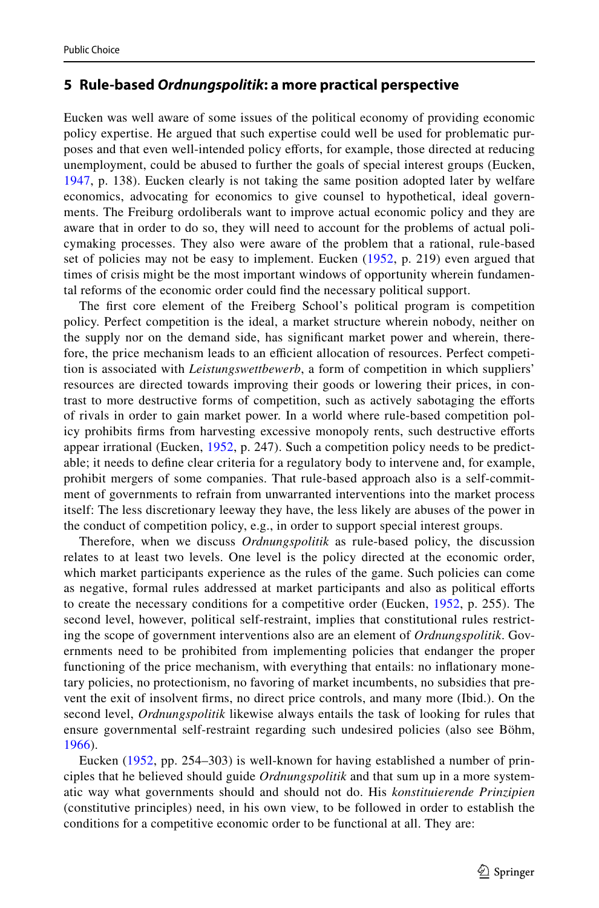#### <span id="page-8-0"></span>**5 Rule‑based** *Ordnungspolitik***: a more practical perspective**

Eucken was well aware of some issues of the political economy of providing economic policy expertise. He argued that such expertise could well be used for problematic purposes and that even well-intended policy eforts, for example, those directed at reducing unemployment, could be abused to further the goals of special interest groups (Eucken, [1947](#page-16-6), p. 138). Eucken clearly is not taking the same position adopted later by welfare economics, advocating for economics to give counsel to hypothetical, ideal governments. The Freiburg ordoliberals want to improve actual economic policy and they are aware that in order to do so, they will need to account for the problems of actual policymaking processes. They also were aware of the problem that a rational, rule-based set of policies may not be easy to implement. Eucken [\(1952,](#page-16-3) p. 219) even argued that times of crisis might be the most important windows of opportunity wherein fundamental reforms of the economic order could fnd the necessary political support.

The frst core element of the Freiberg School's political program is competition policy. Perfect competition is the ideal, a market structure wherein nobody, neither on the supply nor on the demand side, has signifcant market power and wherein, therefore, the price mechanism leads to an efficient allocation of resources. Perfect competition is associated with *Leistungswettbewerb*, a form of competition in which suppliers' resources are directed towards improving their goods or lowering their prices, in contrast to more destructive forms of competition, such as actively sabotaging the eforts of rivals in order to gain market power. In a world where rule-based competition policy prohibits frms from harvesting excessive monopoly rents, such destructive eforts appear irrational (Eucken, [1952](#page-16-3), p. 247). Such a competition policy needs to be predictable; it needs to defne clear criteria for a regulatory body to intervene and, for example, prohibit mergers of some companies. That rule-based approach also is a self-commitment of governments to refrain from unwarranted interventions into the market process itself: The less discretionary leeway they have, the less likely are abuses of the power in the conduct of competition policy, e.g., in order to support special interest groups.

Therefore, when we discuss *Ordnungspolitik* as rule-based policy, the discussion relates to at least two levels. One level is the policy directed at the economic order, which market participants experience as the rules of the game. Such policies can come as negative, formal rules addressed at market participants and also as political eforts to create the necessary conditions for a competitive order (Eucken, [1952,](#page-16-3) p. 255). The second level, however, political self-restraint, implies that constitutional rules restricting the scope of government interventions also are an element of *Ordnungspolitik*. Governments need to be prohibited from implementing policies that endanger the proper functioning of the price mechanism, with everything that entails: no infationary monetary policies, no protectionism, no favoring of market incumbents, no subsidies that prevent the exit of insolvent frms, no direct price controls, and many more (Ibid.). On the second level, *Ordnungspolitik* likewise always entails the task of looking for rules that ensure governmental self-restraint regarding such undesired policies (also see Böhm, [1966](#page-16-10)).

Eucken [\(1952,](#page-16-3) pp. 254–303) is well-known for having established a number of principles that he believed should guide *Ordnungspolitik* and that sum up in a more systematic way what governments should and should not do. His *konstituierende Prinzipien* (constitutive principles) need, in his own view, to be followed in order to establish the conditions for a competitive economic order to be functional at all. They are: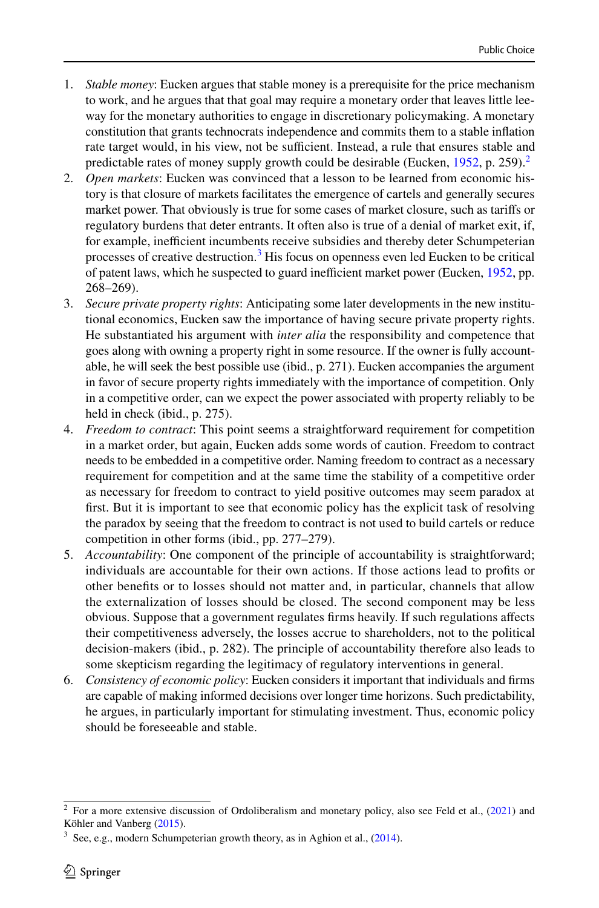- 1. *Stable money*: Eucken argues that stable money is a prerequisite for the price mechanism to work, and he argues that that goal may require a monetary order that leaves little leeway for the monetary authorities to engage in discretionary policymaking. A monetary constitution that grants technocrats independence and commits them to a stable infation rate target would, in his view, not be sufficient. Instead, a rule that ensures stable and predictable rates of money supply growth could be desirable (Eucken,  $1952$  $1952$ , p. 259).<sup>2</sup>
- 2. *Open markets*: Eucken was convinced that a lesson to be learned from economic history is that closure of markets facilitates the emergence of cartels and generally secures market power. That obviously is true for some cases of market closure, such as tarifs or regulatory burdens that deter entrants. It often also is true of a denial of market exit, if, for example, inefficient incumbents receive subsidies and thereby deter Schumpeterian processes of creative destruction.<sup>[3](#page-9-1)</sup> His focus on openness even led Eucken to be critical of patent laws, which he suspected to guard inefficient market power (Eucken, [1952](#page-16-3), pp. 268–269).
- 3. *Secure private property rights*: Anticipating some later developments in the new institutional economics, Eucken saw the importance of having secure private property rights. He substantiated his argument with *inter alia* the responsibility and competence that goes along with owning a property right in some resource. If the owner is fully accountable, he will seek the best possible use (ibid., p. 271). Eucken accompanies the argument in favor of secure property rights immediately with the importance of competition. Only in a competitive order, can we expect the power associated with property reliably to be held in check (ibid., p. 275).
- 4. *Freedom to contract*: This point seems a straightforward requirement for competition in a market order, but again, Eucken adds some words of caution. Freedom to contract needs to be embedded in a competitive order. Naming freedom to contract as a necessary requirement for competition and at the same time the stability of a competitive order as necessary for freedom to contract to yield positive outcomes may seem paradox at first. But it is important to see that economic policy has the explicit task of resolving the paradox by seeing that the freedom to contract is not used to build cartels or reduce competition in other forms (ibid., pp. 277–279).
- 5. *Accountability*: One component of the principle of accountability is straightforward; individuals are accountable for their own actions. If those actions lead to profts or other benefts or to losses should not matter and, in particular, channels that allow the externalization of losses should be closed. The second component may be less obvious. Suppose that a government regulates frms heavily. If such regulations afects their competitiveness adversely, the losses accrue to shareholders, not to the political decision-makers (ibid., p. 282). The principle of accountability therefore also leads to some skepticism regarding the legitimacy of regulatory interventions in general.
- 6. *Consistency of economic policy*: Eucken considers it important that individuals and frms are capable of making informed decisions over longer time horizons. Such predictability, he argues, in particularly important for stimulating investment. Thus, economic policy should be foreseeable and stable.

<span id="page-9-0"></span><sup>2</sup> For a more extensive discussion of Ordoliberalism and monetary policy, also see Feld et al., ([2021\)](#page-16-12) and Köhler and Vanberg ([2015\)](#page-16-13).

<span id="page-9-1"></span> $3\,$  See, e.g., modern Schumpeterian growth theory, as in Aghion et al., ([2014\)](#page-16-11).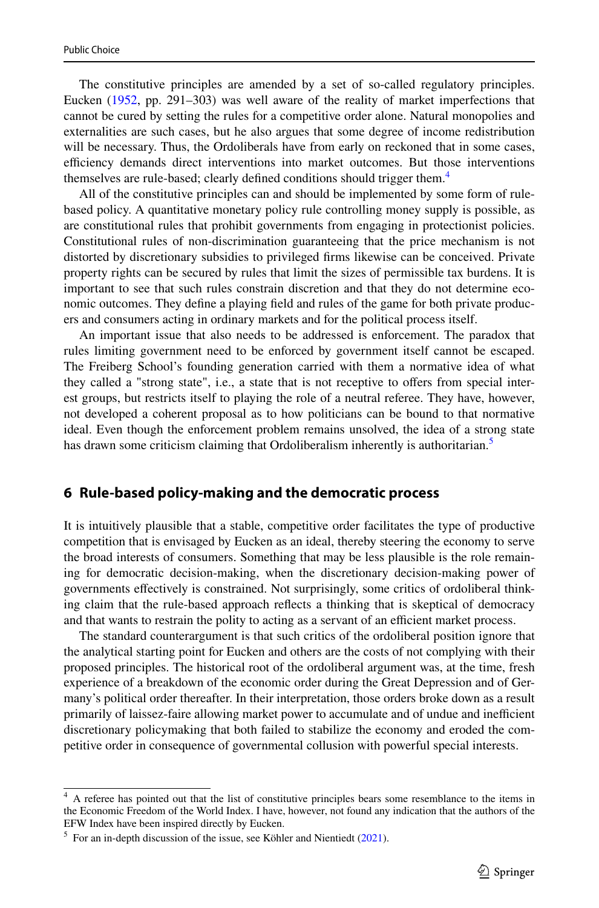The constitutive principles are amended by a set of so-called regulatory principles. Eucken ([1952,](#page-16-3) pp. 291–303) was well aware of the reality of market imperfections that cannot be cured by setting the rules for a competitive order alone. Natural monopolies and externalities are such cases, but he also argues that some degree of income redistribution will be necessary. Thus, the Ordoliberals have from early on reckoned that in some cases, efficiency demands direct interventions into market outcomes. But those interventions themselves are rule-based; clearly defined conditions should trigger them.<sup>[4](#page-10-1)</sup>

All of the constitutive principles can and should be implemented by some form of rulebased policy. A quantitative monetary policy rule controlling money supply is possible, as are constitutional rules that prohibit governments from engaging in protectionist policies. Constitutional rules of non-discrimination guaranteeing that the price mechanism is not distorted by discretionary subsidies to privileged frms likewise can be conceived. Private property rights can be secured by rules that limit the sizes of permissible tax burdens. It is important to see that such rules constrain discretion and that they do not determine economic outcomes. They defne a playing feld and rules of the game for both private producers and consumers acting in ordinary markets and for the political process itself.

An important issue that also needs to be addressed is enforcement. The paradox that rules limiting government need to be enforced by government itself cannot be escaped. The Freiberg School's founding generation carried with them a normative idea of what they called a "strong state", i.e., a state that is not receptive to ofers from special interest groups, but restricts itself to playing the role of a neutral referee. They have, however, not developed a coherent proposal as to how politicians can be bound to that normative ideal. Even though the enforcement problem remains unsolved, the idea of a strong state has drawn some criticism claiming that Ordoliberalism inherently is authoritarian.<sup>[5](#page-10-2)</sup>

#### <span id="page-10-0"></span>**6 Rule‑based policy‑making and the democratic process**

It is intuitively plausible that a stable, competitive order facilitates the type of productive competition that is envisaged by Eucken as an ideal, thereby steering the economy to serve the broad interests of consumers. Something that may be less plausible is the role remaining for democratic decision-making, when the discretionary decision-making power of governments efectively is constrained. Not surprisingly, some critics of ordoliberal thinking claim that the rule-based approach refects a thinking that is skeptical of democracy and that wants to restrain the polity to acting as a servant of an efficient market process.

The standard counterargument is that such critics of the ordoliberal position ignore that the analytical starting point for Eucken and others are the costs of not complying with their proposed principles. The historical root of the ordoliberal argument was, at the time, fresh experience of a breakdown of the economic order during the Great Depression and of Germany's political order thereafter. In their interpretation, those orders broke down as a result primarily of laissez-faire allowing market power to accumulate and of undue and inefficient discretionary policymaking that both failed to stabilize the economy and eroded the competitive order in consequence of governmental collusion with powerful special interests.

<span id="page-10-1"></span><sup>&</sup>lt;sup>4</sup> A referee has pointed out that the list of constitutive principles bears some resemblance to the items in the Economic Freedom of the World Index. I have, however, not found any indication that the authors of the EFW Index have been inspired directly by Eucken.

<span id="page-10-2"></span> $<sup>5</sup>$  For an in-depth discussion of the issue, see Köhler and Nientiedt [\(2021](#page-16-14)).</sup>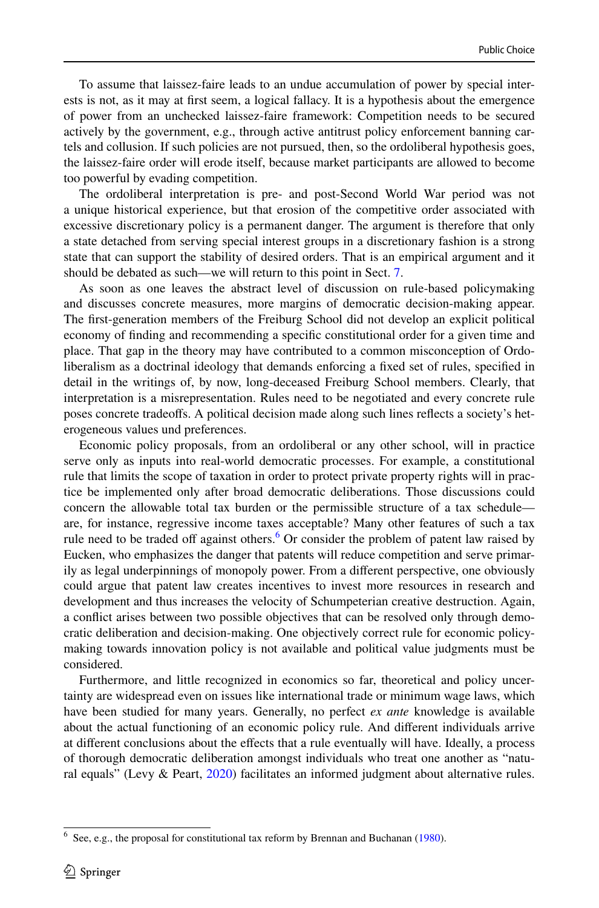To assume that laissez-faire leads to an undue accumulation of power by special interests is not, as it may at frst seem, a logical fallacy. It is a hypothesis about the emergence of power from an unchecked laissez-faire framework: Competition needs to be secured actively by the government, e.g., through active antitrust policy enforcement banning cartels and collusion. If such policies are not pursued, then, so the ordoliberal hypothesis goes, the laissez-faire order will erode itself, because market participants are allowed to become too powerful by evading competition.

The ordoliberal interpretation is pre- and post-Second World War period was not a unique historical experience, but that erosion of the competitive order associated with excessive discretionary policy is a permanent danger. The argument is therefore that only a state detached from serving special interest groups in a discretionary fashion is a strong state that can support the stability of desired orders. That is an empirical argument and it should be debated as such—we will return to this point in Sect. [7.](#page-12-0)

As soon as one leaves the abstract level of discussion on rule-based policymaking and discusses concrete measures, more margins of democratic decision-making appear. The frst-generation members of the Freiburg School did not develop an explicit political economy of fnding and recommending a specifc constitutional order for a given time and place. That gap in the theory may have contributed to a common misconception of Ordoliberalism as a doctrinal ideology that demands enforcing a fxed set of rules, specifed in detail in the writings of, by now, long-deceased Freiburg School members. Clearly, that interpretation is a misrepresentation. Rules need to be negotiated and every concrete rule poses concrete tradeofs. A political decision made along such lines refects a society's heterogeneous values und preferences.

Economic policy proposals, from an ordoliberal or any other school, will in practice serve only as inputs into real-world democratic processes. For example, a constitutional rule that limits the scope of taxation in order to protect private property rights will in practice be implemented only after broad democratic deliberations. Those discussions could concern the allowable total tax burden or the permissible structure of a tax schedule are, for instance, regressive income taxes acceptable? Many other features of such a tax rule need to be traded off against others.<sup>6</sup> Or consider the problem of patent law raised by Eucken, who emphasizes the danger that patents will reduce competition and serve primarily as legal underpinnings of monopoly power. From a diferent perspective, one obviously could argue that patent law creates incentives to invest more resources in research and development and thus increases the velocity of Schumpeterian creative destruction. Again, a confict arises between two possible objectives that can be resolved only through democratic deliberation and decision-making. One objectively correct rule for economic policymaking towards innovation policy is not available and political value judgments must be considered.

Furthermore, and little recognized in economics so far, theoretical and policy uncertainty are widespread even on issues like international trade or minimum wage laws, which have been studied for many years. Generally, no perfect *ex ante* knowledge is available about the actual functioning of an economic policy rule. And diferent individuals arrive at diferent conclusions about the efects that a rule eventually will have. Ideally, a process of thorough democratic deliberation amongst individuals who treat one another as "natural equals" (Levy & Peart, [2020\)](#page-17-9) facilitates an informed judgment about alternative rules.

<span id="page-11-0"></span> $6$  See, e.g., the proposal for constitutional tax reform by Brennan and Buchanan [\(1980](#page-16-15)).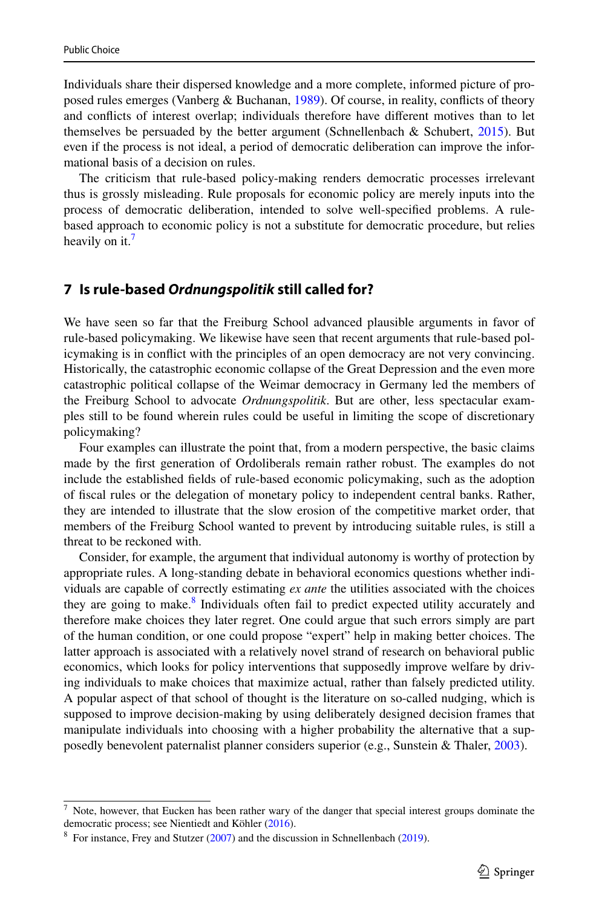Individuals share their dispersed knowledge and a more complete, informed picture of proposed rules emerges (Vanberg & Buchanan, [1989\)](#page-17-10). Of course, in reality, conficts of theory and conficts of interest overlap; individuals therefore have diferent motives than to let themselves be persuaded by the better argument (Schnellenbach  $\&$  Schubert, [2015\)](#page-17-11). But even if the process is not ideal, a period of democratic deliberation can improve the informational basis of a decision on rules.

The criticism that rule-based policy-making renders democratic processes irrelevant thus is grossly misleading. Rule proposals for economic policy are merely inputs into the process of democratic deliberation, intended to solve well-specifed problems. A rulebased approach to economic policy is not a substitute for democratic procedure, but relies heavily on it.<sup>7</sup>

### <span id="page-12-0"></span>**7 Is rule‑based** *Ordnungspolitik* **still called for?**

We have seen so far that the Freiburg School advanced plausible arguments in favor of rule-based policymaking. We likewise have seen that recent arguments that rule-based policymaking is in confict with the principles of an open democracy are not very convincing. Historically, the catastrophic economic collapse of the Great Depression and the even more catastrophic political collapse of the Weimar democracy in Germany led the members of the Freiburg School to advocate *Ordnungspolitik*. But are other, less spectacular examples still to be found wherein rules could be useful in limiting the scope of discretionary policymaking?

Four examples can illustrate the point that, from a modern perspective, the basic claims made by the frst generation of Ordoliberals remain rather robust. The examples do not include the established felds of rule-based economic policymaking, such as the adoption of fscal rules or the delegation of monetary policy to independent central banks. Rather, they are intended to illustrate that the slow erosion of the competitive market order, that members of the Freiburg School wanted to prevent by introducing suitable rules, is still a threat to be reckoned with.

Consider, for example, the argument that individual autonomy is worthy of protection by appropriate rules. A long-standing debate in behavioral economics questions whether individuals are capable of correctly estimating *ex ante* the utilities associated with the choices they are going to make.<sup>8</sup> Individuals often fail to predict expected utility accurately and therefore make choices they later regret. One could argue that such errors simply are part of the human condition, or one could propose "expert" help in making better choices. The latter approach is associated with a relatively novel strand of research on behavioral public economics, which looks for policy interventions that supposedly improve welfare by driving individuals to make choices that maximize actual, rather than falsely predicted utility. A popular aspect of that school of thought is the literature on so-called nudging, which is supposed to improve decision-making by using deliberately designed decision frames that manipulate individuals into choosing with a higher probability the alternative that a supposedly benevolent paternalist planner considers superior (e.g., Sunstein & Thaler, [2003\)](#page-17-12).

<span id="page-12-1"></span>Note, however, that Eucken has been rather wary of the danger that special interest groups dominate the democratic process; see Nientiedt and Köhler ([2016\)](#page-17-13).

<span id="page-12-2"></span><sup>&</sup>lt;sup>8</sup> For instance, Frey and Stutzer  $(2007)$  $(2007)$  and the discussion in Schnellenbach  $(2019)$  $(2019)$ .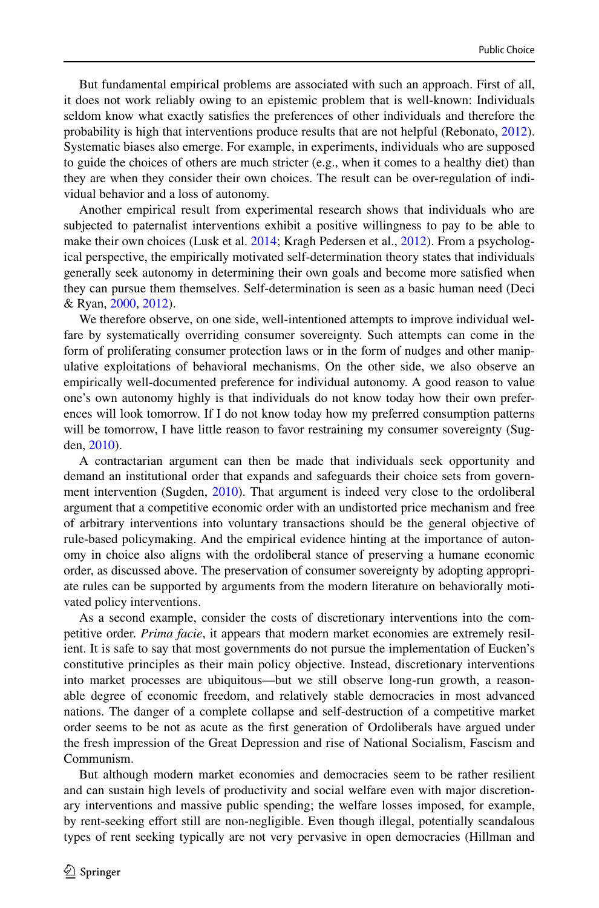But fundamental empirical problems are associated with such an approach. First of all, it does not work reliably owing to an epistemic problem that is well-known: Individuals seldom know what exactly satisfes the preferences of other individuals and therefore the probability is high that interventions produce results that are not helpful (Rebonato, [2012](#page-17-15)). Systematic biases also emerge. For example, in experiments, individuals who are supposed to guide the choices of others are much stricter (e.g., when it comes to a healthy diet) than they are when they consider their own choices. The result can be over-regulation of individual behavior and a loss of autonomy.

Another empirical result from experimental research shows that individuals who are subjected to paternalist interventions exhibit a positive willingness to pay to be able to make their own choices (Lusk et al. [2014](#page-17-16); Kragh Pedersen et al., [2012](#page-17-17)). From a psychological perspective, the empirically motivated self-determination theory states that individuals generally seek autonomy in determining their own goals and become more satisfed when they can pursue them themselves. Self-determination is seen as a basic human need (Deci & Ryan, [2000,](#page-16-17) [2012\)](#page-16-18).

We therefore observe, on one side, well-intentioned attempts to improve individual welfare by systematically overriding consumer sovereignty. Such attempts can come in the form of proliferating consumer protection laws or in the form of nudges and other manipulative exploitations of behavioral mechanisms. On the other side, we also observe an empirically well-documented preference for individual autonomy. A good reason to value one's own autonomy highly is that individuals do not know today how their own preferences will look tomorrow. If I do not know today how my preferred consumption patterns will be tomorrow, I have little reason to favor restraining my consumer sovereignty (Sugden, [2010](#page-17-18)).

A contractarian argument can then be made that individuals seek opportunity and demand an institutional order that expands and safeguards their choice sets from government intervention (Sugden, [2010\)](#page-17-18). That argument is indeed very close to the ordoliberal argument that a competitive economic order with an undistorted price mechanism and free of arbitrary interventions into voluntary transactions should be the general objective of rule-based policymaking. And the empirical evidence hinting at the importance of autonomy in choice also aligns with the ordoliberal stance of preserving a humane economic order, as discussed above. The preservation of consumer sovereignty by adopting appropriate rules can be supported by arguments from the modern literature on behaviorally motivated policy interventions.

As a second example, consider the costs of discretionary interventions into the competitive order. *Prima facie*, it appears that modern market economies are extremely resilient. It is safe to say that most governments do not pursue the implementation of Eucken's constitutive principles as their main policy objective. Instead, discretionary interventions into market processes are ubiquitous—but we still observe long-run growth, a reasonable degree of economic freedom, and relatively stable democracies in most advanced nations. The danger of a complete collapse and self-destruction of a competitive market order seems to be not as acute as the frst generation of Ordoliberals have argued under the fresh impression of the Great Depression and rise of National Socialism, Fascism and Communism.

But although modern market economies and democracies seem to be rather resilient and can sustain high levels of productivity and social welfare even with major discretionary interventions and massive public spending; the welfare losses imposed, for example, by rent-seeking efort still are non-negligible. Even though illegal, potentially scandalous types of rent seeking typically are not very pervasive in open democracies (Hillman and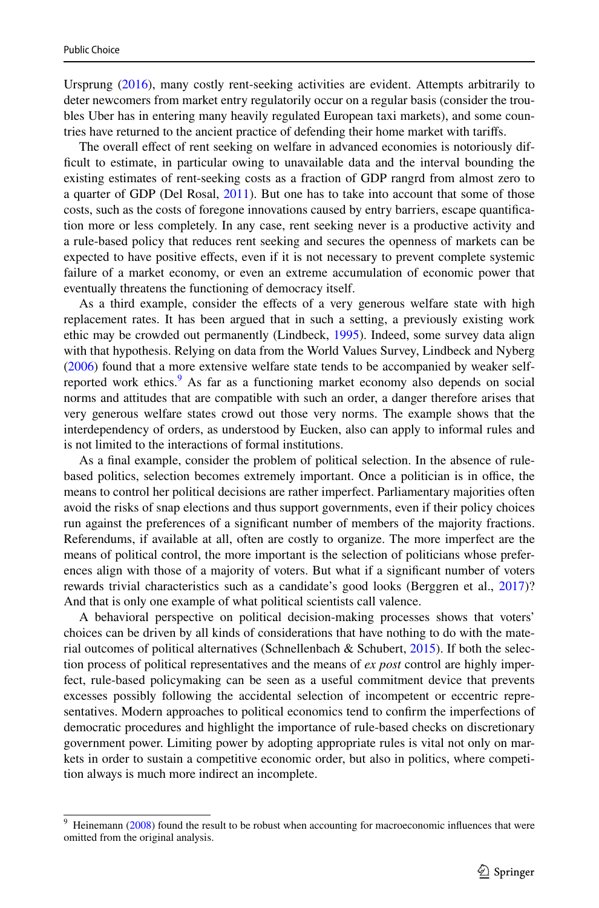Ursprung ([2016\)](#page-16-19), many costly rent-seeking activities are evident. Attempts arbitrarily to deter newcomers from market entry regulatorily occur on a regular basis (consider the troubles Uber has in entering many heavily regulated European taxi markets), and some countries have returned to the ancient practice of defending their home market with tarifs.

The overall efect of rent seeking on welfare in advanced economies is notoriously diffcult to estimate, in particular owing to unavailable data and the interval bounding the existing estimates of rent-seeking costs as a fraction of GDP rangrd from almost zero to a quarter of GDP (Del Rosal, [2011](#page-16-20)). But one has to take into account that some of those costs, such as the costs of foregone innovations caused by entry barriers, escape quantifcation more or less completely. In any case, rent seeking never is a productive activity and a rule-based policy that reduces rent seeking and secures the openness of markets can be expected to have positive efects, even if it is not necessary to prevent complete systemic failure of a market economy, or even an extreme accumulation of economic power that eventually threatens the functioning of democracy itself.

As a third example, consider the effects of a very generous welfare state with high replacement rates. It has been argued that in such a setting, a previously existing work ethic may be crowded out permanently (Lindbeck, [1995\)](#page-17-19). Indeed, some survey data align with that hypothesis. Relying on data from the World Values Survey, Lindbeck and Nyberg ([2006\)](#page-17-20) found that a more extensive welfare state tends to be accompanied by weaker self-reported work ethics.<sup>[9](#page-14-0)</sup> As far as a functioning market economy also depends on social norms and attitudes that are compatible with such an order, a danger therefore arises that very generous welfare states crowd out those very norms. The example shows that the interdependency of orders, as understood by Eucken, also can apply to informal rules and is not limited to the interactions of formal institutions.

As a fnal example, consider the problem of political selection. In the absence of rulebased politics, selection becomes extremely important. Once a politician is in office, the means to control her political decisions are rather imperfect. Parliamentary majorities often avoid the risks of snap elections and thus support governments, even if their policy choices run against the preferences of a signifcant number of members of the majority fractions. Referendums, if available at all, often are costly to organize. The more imperfect are the means of political control, the more important is the selection of politicians whose preferences align with those of a majority of voters. But what if a signifcant number of voters rewards trivial characteristics such as a candidate's good looks (Berggren et al., [2017](#page-16-21))? And that is only one example of what political scientists call valence.

A behavioral perspective on political decision-making processes shows that voters' choices can be driven by all kinds of considerations that have nothing to do with the material outcomes of political alternatives (Schnellenbach  $\&$  Schubert, [2015\)](#page-17-11). If both the selection process of political representatives and the means of *ex post* control are highly imperfect, rule-based policymaking can be seen as a useful commitment device that prevents excesses possibly following the accidental selection of incompetent or eccentric representatives. Modern approaches to political economics tend to confrm the imperfections of democratic procedures and highlight the importance of rule-based checks on discretionary government power. Limiting power by adopting appropriate rules is vital not only on markets in order to sustain a competitive economic order, but also in politics, where competition always is much more indirect an incomplete.

<span id="page-14-0"></span>Heinemann [\(2008](#page-16-22)) found the result to be robust when accounting for macroeconomic influences that were omitted from the original analysis.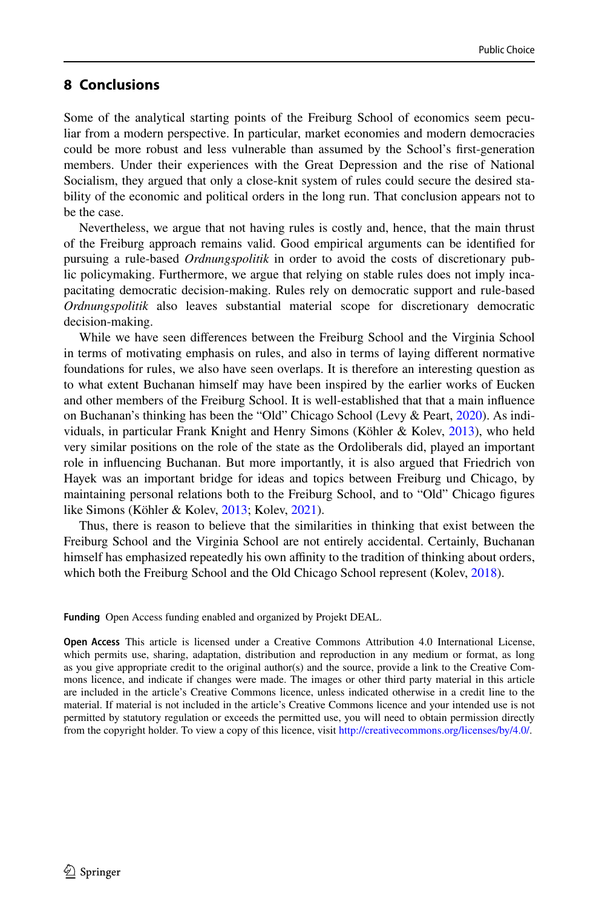# <span id="page-15-0"></span>**8 Conclusions**

Some of the analytical starting points of the Freiburg School of economics seem peculiar from a modern perspective. In particular, market economies and modern democracies could be more robust and less vulnerable than assumed by the School's frst-generation members. Under their experiences with the Great Depression and the rise of National Socialism, they argued that only a close-knit system of rules could secure the desired stability of the economic and political orders in the long run. That conclusion appears not to be the case.

Nevertheless, we argue that not having rules is costly and, hence, that the main thrust of the Freiburg approach remains valid. Good empirical arguments can be identifed for pursuing a rule-based *Ordnungspolitik* in order to avoid the costs of discretionary public policymaking. Furthermore, we argue that relying on stable rules does not imply incapacitating democratic decision-making. Rules rely on democratic support and rule-based *Ordnungspolitik* also leaves substantial material scope for discretionary democratic decision-making.

While we have seen diferences between the Freiburg School and the Virginia School in terms of motivating emphasis on rules, and also in terms of laying diferent normative foundations for rules, we also have seen overlaps. It is therefore an interesting question as to what extent Buchanan himself may have been inspired by the earlier works of Eucken and other members of the Freiburg School. It is well-established that that a main infuence on Buchanan's thinking has been the "Old" Chicago School (Levy & Peart, [2020\)](#page-17-9). As individuals, in particular Frank Knight and Henry Simons (Köhler & Kolev, [2013](#page-16-23)), who held very similar positions on the role of the state as the Ordoliberals did, played an important role in infuencing Buchanan. But more importantly, it is also argued that Friedrich von Hayek was an important bridge for ideas and topics between Freiburg und Chicago, by maintaining personal relations both to the Freiburg School, and to "Old" Chicago fgures like Simons (Köhler & Kolev, [2013;](#page-16-23) Kolev, [2021\)](#page-17-21).

Thus, there is reason to believe that the similarities in thinking that exist between the Freiburg School and the Virginia School are not entirely accidental. Certainly, Buchanan himself has emphasized repeatedly his own affinity to the tradition of thinking about orders, which both the Freiburg School and the Old Chicago School represent (Kolev, [2018\)](#page-16-24).

**Funding** Open Access funding enabled and organized by Projekt DEAL.

**Open Access** This article is licensed under a Creative Commons Attribution 4.0 International License, which permits use, sharing, adaptation, distribution and reproduction in any medium or format, as long as you give appropriate credit to the original author(s) and the source, provide a link to the Creative Commons licence, and indicate if changes were made. The images or other third party material in this article are included in the article's Creative Commons licence, unless indicated otherwise in a credit line to the material. If material is not included in the article's Creative Commons licence and your intended use is not permitted by statutory regulation or exceeds the permitted use, you will need to obtain permission directly from the copyright holder. To view a copy of this licence, visit [http://creativecommons.org/licenses/by/4.0/.](http://creativecommons.org/licenses/by/4.0/)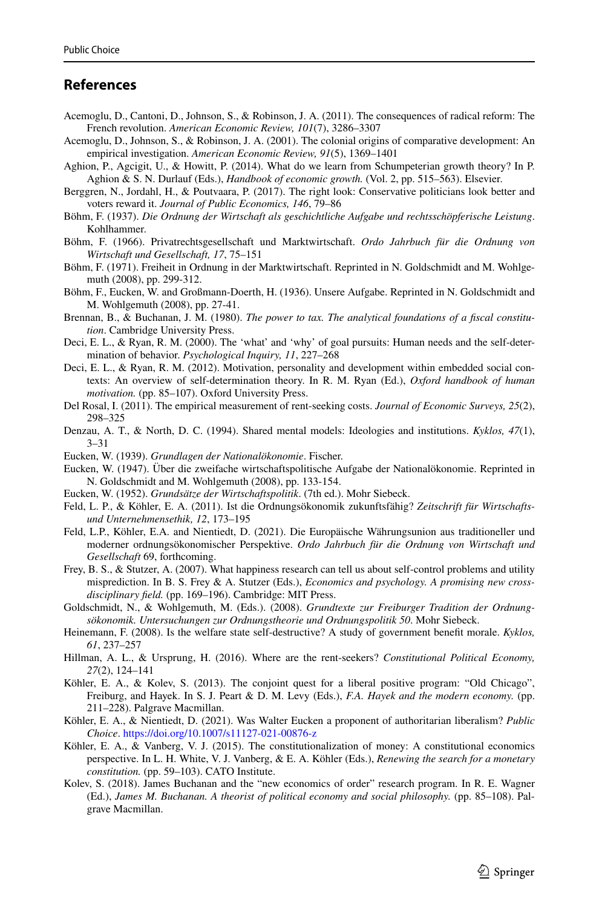# **References**

- <span id="page-16-4"></span>Acemoglu, D., Cantoni, D., Johnson, S., & Robinson, J. A. (2011). The consequences of radical reform: The French revolution. *American Economic Review, 101*(7), 3286–3307
- <span id="page-16-8"></span>Acemoglu, D., Johnson, S., & Robinson, J. A. (2001). The colonial origins of comparative development: An empirical investigation. *American Economic Review, 91*(5), 1369–1401
- <span id="page-16-11"></span>Aghion, P., Agcigit, U., & Howitt, P. (2014). What do we learn from Schumpeterian growth theory? In P. Aghion & S. N. Durlauf (Eds.), *Handbook of economic growth.* (Vol. 2, pp. 515–563). Elsevier.
- <span id="page-16-21"></span>Berggren, N., Jordahl, H., & Poutvaara, P. (2017). The right look: Conservative politicians look better and voters reward it. *Journal of Public Economics, 146*, 79–86
- <span id="page-16-5"></span>Böhm, F. (1937). *Die Ordnung der Wirtschaft als geschichtliche Aufgabe und rechtsschöpferische Leistung*. Kohlhammer.
- <span id="page-16-10"></span>Böhm, F. (1966). Privatrechtsgesellschaft und Marktwirtschaft. *Ordo Jahrbuch für die Ordnung von Wirtschaft und Gesellschaft, 17*, 75–151
- <span id="page-16-9"></span>Böhm, F. (1971). Freiheit in Ordnung in der Marktwirtschaft. Reprinted in N. Goldschmidt and M. Wohlgemuth (2008), pp. 299-312.
- Böhm, F., Eucken, W. and Großmann-Doerth, H. (1936). Unsere Aufgabe. Reprinted in N. Goldschmidt and M. Wohlgemuth (2008), pp. 27-41.
- <span id="page-16-15"></span>Brennan, B., & Buchanan, J. M. (1980). *The power to tax. The analytical foundations of a fscal constitution*. Cambridge University Press.
- <span id="page-16-17"></span>Deci, E. L., & Ryan, R. M. (2000). The 'what' and 'why' of goal pursuits: Human needs and the self-determination of behavior. *Psychological Inquiry, 11*, 227–268
- <span id="page-16-18"></span>Deci, E. L., & Ryan, R. M. (2012). Motivation, personality and development within embedded social contexts: An overview of self-determination theory. In R. M. Ryan (Ed.), *Oxford handbook of human motivation.* (pp. 85–107). Oxford University Press.
- <span id="page-16-20"></span>Del Rosal, I. (2011). The empirical measurement of rent-seeking costs. *Journal of Economic Surveys, 25*(2), 298–325
- <span id="page-16-7"></span>Denzau, A. T., & North, D. C. (1994). Shared mental models: Ideologies and institutions. *Kyklos, 47*(1), 3–31
- <span id="page-16-2"></span>Eucken, W. (1939). *Grundlagen der Nationalökonomie*. Fischer.
- <span id="page-16-6"></span>Eucken, W. (1947). Über die zweifache wirtschaftspolitische Aufgabe der Nationalökonomie. Reprinted in N. Goldschmidt and M. Wohlgemuth (2008), pp. 133-154.
- <span id="page-16-3"></span>Eucken, W. (1952). *Grundsätze der Wirtschaftspolitik*. (7th ed.). Mohr Siebeck.
- <span id="page-16-1"></span>Feld, L. P., & Köhler, E. A. (2011). Ist die Ordnungsökonomik zukunftsfähig? *Zeitschrift für Wirtschaftsund Unternehmensethik, 12*, 173–195
- <span id="page-16-12"></span>Feld, L.P., Köhler, E.A. and Nientiedt, D. (2021). Die Europäische Währungsunion aus traditioneller und moderner ordnungsökonomischer Perspektive. *Ordo Jahrbuch für die Ordnung von Wirtschaft und Gesellschaft* 69, forthcoming.
- <span id="page-16-16"></span>Frey, B. S., & Stutzer, A. (2007). What happiness research can tell us about self-control problems and utility misprediction. In B. S. Frey & A. Stutzer (Eds.), *Economics and psychology. A promising new crossdisciplinary feld.* (pp. 169–196). Cambridge: MIT Press.
- <span id="page-16-0"></span>Goldschmidt, N., & Wohlgemuth, M. (Eds.). (2008). *Grundtexte zur Freiburger Tradition der Ordnungsökonomik. Untersuchungen zur Ordnungstheorie und Ordnungspolitik 50*. Mohr Siebeck.
- <span id="page-16-22"></span>Heinemann, F. (2008). Is the welfare state self-destructive? A study of government beneft morale. *Kyklos, 61*, 237–257
- <span id="page-16-19"></span>Hillman, A. L., & Ursprung, H. (2016). Where are the rent-seekers? *Constitutional Political Economy, 27*(2), 124–141
- <span id="page-16-23"></span>Köhler, E. A., & Kolev, S. (2013). The conjoint quest for a liberal positive program: "Old Chicago", Freiburg, and Hayek. In S. J. Peart & D. M. Levy (Eds.), *F.A. Hayek and the modern economy.* (pp. 211–228). Palgrave Macmillan.
- <span id="page-16-14"></span>Köhler, E. A., & Nientiedt, D. (2021). Was Walter Eucken a proponent of authoritarian liberalism? *Public Choice*.<https://doi.org/10.1007/s11127-021-00876-z>
- <span id="page-16-13"></span>Köhler, E. A., & Vanberg, V. J. (2015). The constitutionalization of money: A constitutional economics perspective. In L. H. White, V. J. Vanberg, & E. A. Köhler (Eds.), *Renewing the search for a monetary constitution.* (pp. 59–103). CATO Institute.
- <span id="page-16-24"></span>Kolev, S. (2018). James Buchanan and the "new economics of order" research program. In R. E. Wagner (Ed.), *James M. Buchanan. A theorist of political economy and social philosophy.* (pp. 85–108). Palgrave Macmillan.